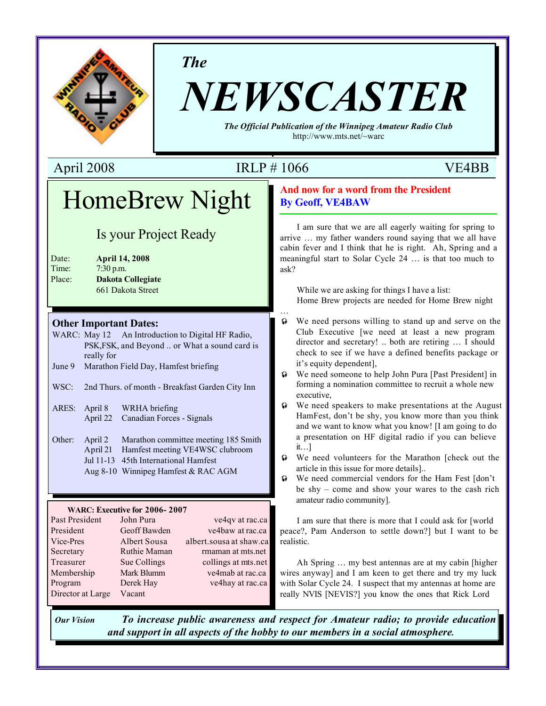

*The*

# *NEWSCASTER*

*The Official Publication of the Winnipeg Amateur Radio Club* http://www.mts.net/~warc

## April 2008 **IRLP** # 1066 **VE4BB**

…

# HomeBrew Night

# Is your Project Ready

| Date:  | <b>April 14, 2008</b>    |
|--------|--------------------------|
| Time:  | $7:30$ p.m.              |
| Place: | <b>Dakota Collegiate</b> |
|        | 661 Dakota Street        |

#### **Other Important Dates:**

- WARC: May 12 An Introduction to Digital HF Radio, PSK,FSK, and Beyond .. or What a sound card is really for
- June 9 Marathon Field Day, Hamfest briefing
- WSC: 2nd Thurs. of month Breakfast Garden City Inn
- ARES: April 8 WRHA briefing April 22 Canadian Forces - Signals
- Other: April 2 Marathon committee meeting 185 Smith April 21 Hamfest meeting VE4WSC clubroom Jul 11-13 45th International Hamfest Aug 8-10 Winnipeg Hamfest & RAC AGM

#### **WARC: Executive for 2006- 2007**

| Past President    | John Pura    | ve4qv at rac.ca         |
|-------------------|--------------|-------------------------|
| President         | Geoff Bawden | ve4baw at rac.ca        |
| Vice-Pres         | Albert Sousa | albert.sousa at shaw.ca |
| Secretary         | Ruthie Maman | rmaman at mts.net       |
| Treasurer         | Sue Collings | collings at mts.net     |
| Membership        | Mark Blumm   | ve4mab at rac.ca        |
| Program           | Derek Hay    | ve4hay at rac.ca        |
| Director at Large | Vacant       |                         |

#### **And now for a word from the President By Geoff, VE4BAW**

I am sure that we are all eagerly waiting for spring to arrive … my father wanders round saying that we all have cabin fever and I think that he is right. Ah, Spring and a meaningful start to Solar Cycle 24 … is that too much to ask?

While we are asking for things I have a list: Home Brew projects are needed for Home Brew night

- $\odot$  We need persons willing to stand up and serve on the Club Executive [we need at least a new program director and secretary! .. both are retiring … I should check to see if we have a defined benefits package or it's equity dependent],
- $\odot$  We need someone to help John Pura [Past President] in forming a nomination committee to recruit a whole new executive,
- $\odot$  We need speakers to make presentations at the August HamFest, don't be shy, you know more than you think and we want to know what you know! [I am going to do a presentation on HF digital radio if you can believe it…]
- $\odot$  We need volunteers for the Marathon [check out the article in this issue for more details]..
- $\odot$  We need commercial vendors for the Ham Fest [don't] be shy – come and show your wares to the cash rich amateur radio community].

I am sure that there is more that I could ask for [world peace?, Pam Anderson to settle down?] but I want to be realistic.

Ah Spring … my best antennas are at my cabin [higher wires anyway] and I am keen to get there and try my luck with Solar Cycle 24. I suspect that my antennas at home are really NVIS [NEVIS?] you know the ones that Rick Lord

*Our Vision To increase public awareness and respect for Amateur radio; to provide education and support in all aspects of the hobby to our members in a social atmosphere.*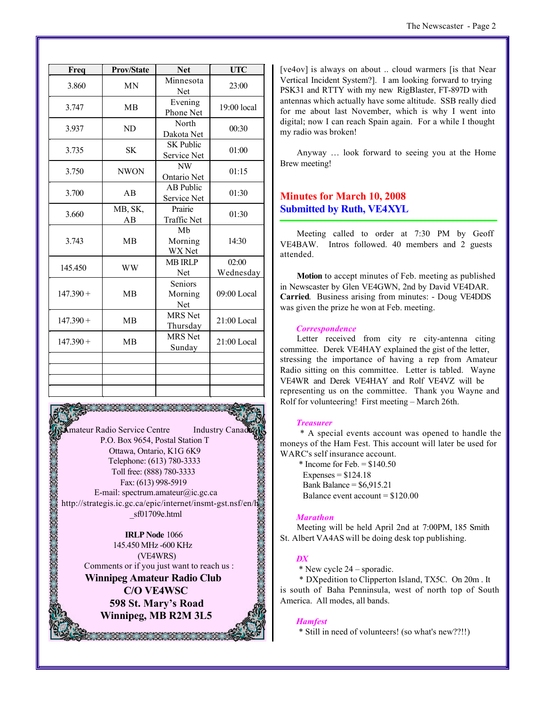| Freq        | <b>Prov/State</b> | <b>Net</b>                      | <b>UTC</b>         |
|-------------|-------------------|---------------------------------|--------------------|
| 3.860       | MN                | Minnesota<br>Net                | 23:00              |
| 3.747       | <b>MB</b>         | Evening<br>Phone Net            | $19:00$ local      |
| 3.937       | ND                | North<br>Dakota Net             | 00:30              |
| 3.735       | <b>SK</b>         | <b>SK Public</b><br>Service Net | 01:00              |
| 3.750       | <b>NWON</b>       | NW<br>Ontario Net               | 01:15              |
| 3.700       | AB                | <b>AB</b> Public<br>Service Net | 01:30              |
| 3.660       | MB, SK,<br>AB     | Prairie<br><b>Traffic Net</b>   | 01:30              |
| 3.743       | <b>MB</b>         | Mb<br>Morning<br>WX Net         | 14:30              |
| 145.450     | <b>WW</b>         | <b>MB IRLP</b><br>Net           | 02:00<br>Wednesday |
| $147.390 +$ | <b>MB</b>         | Seniors<br>Morning<br>Net       | $09:00$ Local      |
| $147.390 +$ | <b>MB</b>         | <b>MRS</b> Net<br>Thursday      | 21:00 Local        |
| $147.390 +$ | <b>MB</b>         | <b>MRS</b> Net<br>Sunday        | 21:00 Local        |
|             |                   |                                 |                    |
|             |                   |                                 |                    |
|             |                   |                                 |                    |

mateur Radio Service Centre Industry Canad P.O. Box 9654, Postal Station T Ottawa, Ontario, K1G 6K9 Telephone: (613) 780-3333 Toll free: (888) 780-3333 Fax: (613) 998-5919 E-mail: spectrum.amateur@ic.gc.ca http://strategis.ic.gc.ca/epic/internet/insmt-gst.nsf/en/h \_sf01709e.html

**IRLP Node** 1066 145.450 MHz -600 KHz (VE4WRS) Comments or if you just want to reach us : **Winnipeg Amateur Radio Club C/O VE4WSC 598 St. Mary's Road Winnipeg, MB R2M 3L5**

RA KATALOG

[ve4ov] is always on about .. cloud warmers [is that Near Vertical Incident System?]. I am looking forward to trying PSK31 and RTTY with my new RigBlaster, FT-897D with antennas which actually have some altitude. SSB really died for me about last November, which is why I went into digital; now I can reach Spain again. For a while I thought my radio was broken!

Anyway … look forward to seeing you at the Home Brew meeting!

#### **Minutes for March 10, 2008 Submitted by Ruth, VE4XYL**

Meeting called to order at 7:30 PM by Geoff VE4BAW. Intros followed. 40 members and 2 guests attended.

**Motion** to accept minutes of Feb. meeting as published in Newscaster by Glen VE4GWN, 2nd by David VE4DAR. **Carried**. Business arising from minutes: - Doug VE4DDS was given the prize he won at Feb. meeting.

#### *Correspondence*

Letter received from city re city-antenna citing committee. Derek VE4HAY explained the gist of the letter, stressing the importance of having a rep from Amateur Radio sitting on this committee. Letter is tabled. Wayne VE4WR and Derek VE4HAY and Rolf VE4VZ will be representing us on the committee. Thank you Wayne and Rolf for volunteering! First meeting – March 26th.

#### *Treasurer*

 \* A special events account was opened to handle the moneys of the Ham Fest. This account will later be used for WARC's self insurance account.

 $*$  Income for Feb.  $= $140.50$ Expenses =  $$124.18$ Bank Balance =  $$6,915,21$ Balance event account = \$120.00

#### *Marathon*

Meeting will be held April 2nd at 7:00PM, 185 Smith St. Albert VA4AS will be doing desk top publishing.

#### *DX*

\* New cycle 24 – sporadic.

 \* DXpedition to Clipperton Island, TX5C. On 20m . It is south of Baha Penninsula, west of north top of South America. All modes, all bands.

#### *Hamfest*

\* Still in need of volunteers! (so what's new??!!)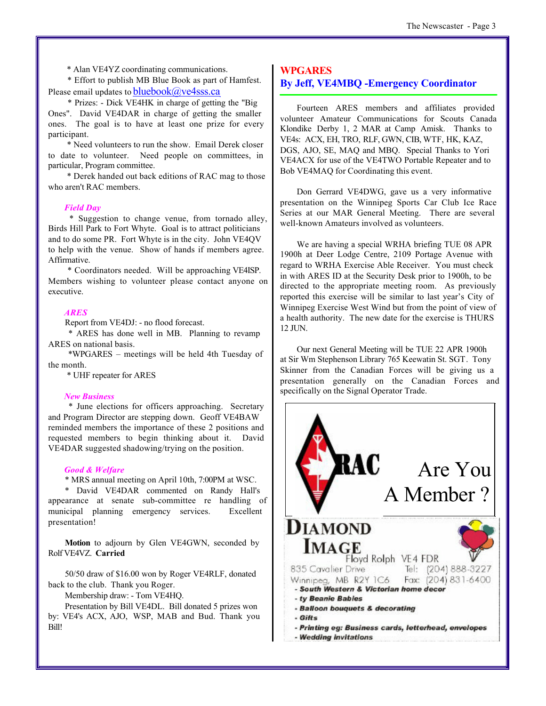\* Alan VE4YZ coordinating communications.

 \* Effort to publish MB Blue Book as part of Hamfest. Please email updates to  $bluebook@ve4sss.ca$ 

 \* Prizes: - Dick VE4HK in charge of getting the "Big Ones". David VE4DAR in charge of getting the smaller ones. The goal is to have at least one prize for every participant.

 \* Need volunteers to run the show. Email Derek closer to date to volunteer. Need people on committees, in particular, Program committee.

 \* Derek handed out back editions of RAC mag to those who aren't RAC members.

#### *Field Day*

 \* Suggestion to change venue, from tornado alley, Birds Hill Park to Fort Whyte. Goal is to attract politicians and to do some PR. Fort Whyte is in the city. John VE4QV to help with the venue. Show of hands if members agree. Affirmative.

 \* Coordinators needed. Will be approaching VE4ISP. Members wishing to volunteer please contact anyone on executive.

#### *ARES*

Report from VE4DJ: - no flood forecast.

 \* ARES has done well in MB. Planning to revamp ARES on national basis.

\*WPGARES – meetings will be held 4th Tuesday of the month.

\* UHF repeater for ARES

#### *New Business*

 \* June elections for officers approaching. Secretary and Program Director are stepping down. Geoff VE4BAW reminded members the importance of these 2 positions and requested members to begin thinking about it. David VE4DAR suggested shadowing/trying on the position.

#### *Good & Welfare*

\* MRS annual meeting on April 10th, 7:00PM at WSC.

\* David VE4DAR commented on Randy Hall's appearance at senate sub-committee re handling of municipal planning emergency services. Excellent presentation!

**Motion** to adjourn by Glen VE4GWN, seconded by Rolf VE4VZ. **Carried**

50/50 draw of \$16.00 won by Roger VE4RLF, donated back to the club. Thank you Roger.

Membership draw: - Tom VE4HQ.

Presentation by Bill VE4DL. Bill donated 5 prizes won by: VE4's ACX, AJO, WSP, MAB and Bud. Thank you Bill!

#### **WPGARES**

#### **By Jeff, VE4MBQ -Emergency Coordinator**

Fourteen ARES members and affiliates provided volunteer Amateur Communications for Scouts Canada Klondike Derby 1, 2 MAR at Camp Amisk. Thanks to VE4s: ACX, EH, TRO, RLF, GWN, CIB, WTF, HK, KAZ, DGS, AJO, SE, MAQ and MBQ. Special Thanks to Yori VE4ACX for use of the VE4TWO Portable Repeater and to Bob VE4MAQ for Coordinating this event.

Don Gerrard VE4DWG, gave us a very informative presentation on the Winnipeg Sports Car Club Ice Race Series at our MAR General Meeting. There are several well-known Amateurs involved as volunteers.

We are having a special WRHA briefing TUE 08 APR 1900h at Deer Lodge Centre, 2109 Portage Avenue with regard to WRHA Exercise Able Receiver. You must check in with ARES ID at the Security Desk prior to 1900h, to be directed to the appropriate meeting room. As previously reported this exercise will be similar to last year's City of Winnipeg Exercise West Wind but from the point of view of a health authority. The new date for the exercise is THURS 12 JUN.

Our next General Meeting will be TUE 22 APR 1900h at Sir Wm Stephenson Library 765 Keewatin St. SGT. Tony Skinner from the Canadian Forces will be giving us a presentation generally on the Canadian Forces and specifically on the Signal Operator Trade.

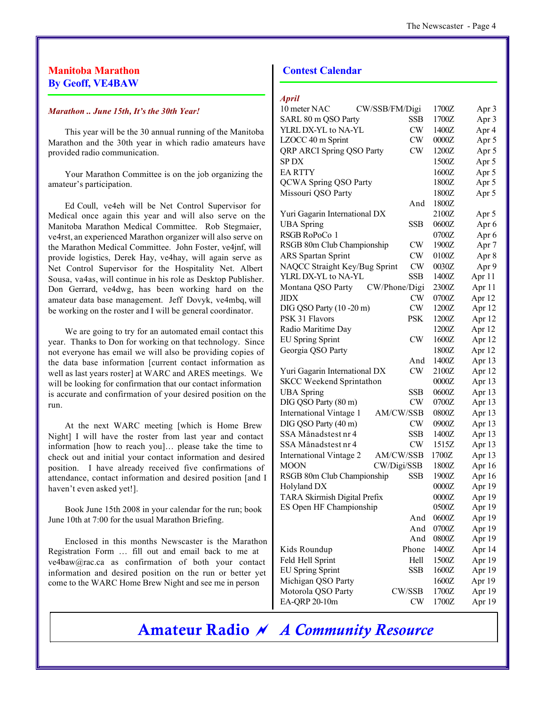#### **Manitoba Marathon By Geoff, VE4BAW**

#### *Marathon .. June 15th, It's the 30th Year!*

This year will be the 30 annual running of the Manitoba Marathon and the 30th year in which radio amateurs have provided radio communication.

Your Marathon Committee is on the job organizing the amateur's participation.

Ed Coull, ve4eh will be Net Control Supervisor for Medical once again this year and will also serve on the Manitoba Marathon Medical Committee. Rob Stegmaier, ve4rst, an experienced Marathon organizer will also serve on the Marathon Medical Committee. John Foster, ve4jnf, will provide logistics, Derek Hay, ve4hay, will again serve as Net Control Supervisor for the Hospitality Net. Albert Sousa, va4as, will continue in his role as Desktop Publisher. Don Gerrard, ve4dwg, has been working hard on the amateur data base management. Jeff Dovyk, ve4mbq, will be working on the roster and I will be general coordinator.

We are going to try for an automated email contact this year. Thanks to Don for working on that technology. Since not everyone has email we will also be providing copies of the data base information [current contact information as well as last years roster] at WARC and ARES meetings. We will be looking for confirmation that our contact information is accurate and confirmation of your desired position on the run.

At the next WARC meeting [which is Home Brew Night] I will have the roster from last year and contact information [how to reach you]… please take the time to check out and initial your contact information and desired position. I have already received five confirmations of attendance, contact information and desired position [and I haven't even asked yet!].

Book June 15th 2008 in your calendar for the run; book June 10th at 7:00 for the usual Marathon Briefing.

Enclosed in this months Newscaster is the Marathon Registration Form … fill out and email back to me at ve4baw@rac.ca as confirmation of both your contact information and desired position on the run or better yet come to the WARC Home Brew Night and see me in person

#### **Contest Calendar**

| <i>Avru</i>                         |               |       |                  |
|-------------------------------------|---------------|-------|------------------|
| CW/SSB/FM/Digi<br>10 meter NAC      |               | 1700Z | Apr 3            |
| SARL 80 m QSO Party                 | SSB           | 1700Z | Apr 3            |
| YLRL DX-YL to NA-YL                 | CW            | 1400Z | Apr 4            |
| LZOCC 40 m Sprint                   | <b>CW</b>     | 0000Z | Apr 5            |
| QRP ARCI Spring QSO Party           | CW            | 1200Z | Apr 5            |
| <b>SPDX</b>                         |               | 1500Z | Apr 5            |
| <b>EA RTTY</b>                      |               | 1600Z | Apr 5            |
| <b>QCWA Spring QSO Party</b>        |               | 1800Z | Apr 5            |
| Missouri QSO Party                  |               | 1800Z | Apr 5            |
|                                     | And           | 1800Z |                  |
| Yuri Gagarin International DX       |               | 2100Z | Apr 5            |
| <b>UBA</b> Spring                   | SSB           | 0600Z | Apr 6            |
| RSGB RoPoCo 1                       |               | 0700Z | Apr 6            |
| RSGB 80m Club Championship          | CW            | 1900Z | Apr <sub>7</sub> |
| <b>ARS</b> Spartan Sprint           | CW            | 0100Z | Apr 8            |
| NAQCC Straight Key/Bug Sprint       | CW            | 0030Z | Apr 9            |
| YLRL DX-YL to NA-YL                 | SSB           | 1400Z | Apr 11           |
| Montana QSO Party                   | CW/Phone/Digi | 2300Z | Apr 11           |
| <b>JIDX</b>                         | CW            | 0700Z | Apr 12           |
| DIG QSO Party (10 -20 m)            | CW            | 1200Z | Apr 12           |
| PSK 31 Flavors                      | <b>PSK</b>    | 1200Z | Apr 12           |
| Radio Maritime Day                  |               | 1200Z | Apr 12           |
| <b>EU Spring Sprint</b>             | CW            | 1600Z | Apr 12           |
| Georgia QSO Party                   |               | 1800Z | Apr 12           |
|                                     | And           | 1400Z | Apr 13           |
| Yuri Gagarin International DX       | CW            | 2100Z | Apr 12           |
| <b>SKCC Weekend Sprintathon</b>     |               | 0000Z | Apr 13           |
| <b>UBA</b> Spring                   | <b>SSB</b>    | 0600Z | Apr 13           |
| DIG QSO Party (80 m)                | CW            | 0700Z | Apr 13           |
| <b>International Vintage 1</b>      | AM/CW/SSB     | 0800Z | Apr 13           |
| DIG QSO Party (40 m)                | CW            | 0900Z | Apr 13           |
| SSA Månadstest nr 4                 | SSB           | 1400Z | Apr 13           |
| SSA Månadstest nr 4                 | CW            | 1515Z | Apr 13           |
| <b>International Vintage 2</b>      | AM/CW/SSB     | 1700Z | Apr 13           |
| <b>MOON</b>                         | CW/Digi/SSB   | 1800Z | Apr 16           |
| RSGB 80m Club Championship          | <b>SSB</b>    | 1900Z | Apr 16           |
| Holyland DX                         |               | 0000Z | Apr 19           |
| <b>TARA Skirmish Digital Prefix</b> |               | 0000Z |                  |
| ES Open HF Championship             |               | 0500Z | Apr 19<br>Apr 19 |
|                                     | And           | 0600Z | Apr 19           |
|                                     | And           | 0700Z | Apr 19           |
|                                     | And           | 0800Z |                  |
|                                     |               |       | Apr 19           |
| Kids Roundup                        | Phone         | 1400Z | Apr 14           |
| Feld Hell Sprint                    | Hell          | 1500Z | Apr 19           |
| <b>EU Spring Sprint</b>             | <b>SSB</b>    | 1600Z | Apr 19           |
| Michigan QSO Party                  |               | 1600Z | Apr 19           |
| Motorola QSO Party                  | CW/SSB        | 1700Z | Apr 19           |
| EA-QRP 20-10m                       | CW            | 1700Z | Apr 19           |

# **Amateur Radio** ~ *A Community Resource*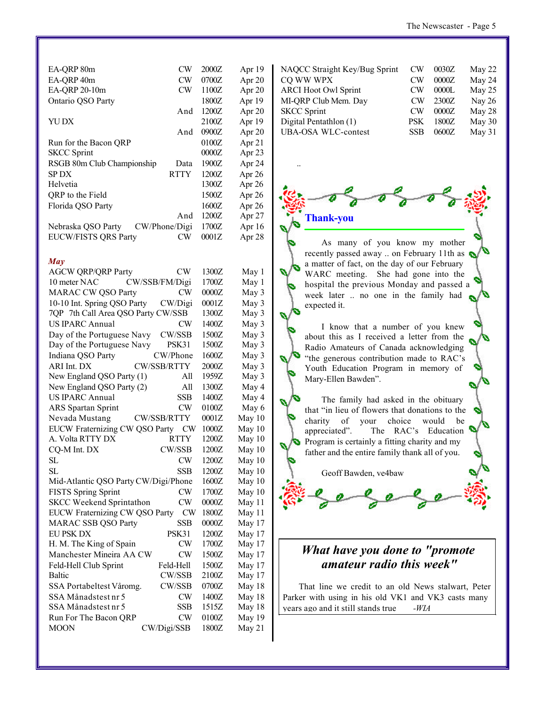| EA-ORP 80m                  | <b>CW</b>      | 2000Z | Apr 19   |
|-----------------------------|----------------|-------|----------|
| EA-QRP 40m                  | CW <sub></sub> | 0700Z | Apr 20   |
| EA-QRP 20-10m               | CW             | 1100Z | Apr $20$ |
| Ontario QSO Party           |                | 1800Z | Apr 19   |
|                             | And            | 1200Z | Apr 20   |
| YU DX                       |                | 2100Z | Apr 19   |
|                             | And            | 0900Z | Apr $20$ |
| Run for the Bacon ORP       |                | 0100Z | Apr $21$ |
| <b>SKCC</b> Sprint          |                | 0000Z | Apr $23$ |
| RSGB 80m Club Championship  | Data           | 1900Z | Apr 24   |
| SP DX                       | <b>RTTY</b>    | 1200Z | Apr $26$ |
| Helvetia                    |                | 1300Z | Apr $26$ |
| QRP to the Field            |                | 1500Z | Apr $26$ |
| Florida QSO Party           |                | 1600Z | Apr 26   |
|                             | And            | 1200Z | Apr 27   |
| Nebraska QSO Party          | CW/Phone/Digi  | 1700Z | Apr 16   |
| <b>EUCW/FISTS QRS Party</b> | CW             | 0001Z | Apr 28   |
|                             |                |       |          |

#### *May*

| <b>AGCW QRP/QRP Party</b>            | CW                 | 1300Z | May 1  |
|--------------------------------------|--------------------|-------|--------|
| 10 meter NAC                         | CW/SSB/FM/Digi     | 1700Z | May 1  |
| <b>MARAC CW QSO Party</b>            | CW                 | 0000Z | May 3  |
| 10-10 Int. Spring QSO Party          | CW/Digi            | 0001Z | May 3  |
| 7QP 7th Call Area QSO Party CW/SSB   |                    | 1300Z | May 3  |
| <b>US IPARC Annual</b>               | CW                 | 1400Z | May 3  |
| Day of the Portuguese Navy           | <b>CW/SSB</b>      | 1500Z | May 3  |
| Day of the Portuguese Navy           | PSK31              | 1500Z | May 3  |
| Indiana QSO Party                    | CW/Phone           | 1600Z | May 3  |
| ARI Int. DX                          | CW/SSB/RTTY        | 2000Z | May 3  |
| New England QSO Party (1)            | All                | 1959Z | May 3  |
| New England QSO Party (2)            | All                | 1300Z | May 4  |
| <b>US IPARC Annual</b>               | <b>SSB</b>         | 1400Z | May 4  |
| <b>ARS</b> Spartan Sprint            | CW                 | 0100Z | May 6  |
| Nevada Mustang                       | <b>CW/SSB/RTTY</b> | 0001Z | May 10 |
| EUCW Fraternizing CW QSO Party       | <b>CW</b>          | 1000Z | May 10 |
| A. Volta RTTY DX                     | <b>RTTY</b>        | 1200Z | May 10 |
| CQ-M Int. DX                         | <b>CW/SSB</b>      | 1200Z | May 10 |
| <b>SL</b>                            | CW                 | 1200Z | May 10 |
| SL                                   | <b>SSB</b>         | 1200Z | May 10 |
| Mid-Atlantic QSO Party CW/Digi/Phone |                    | 1600Z | May 10 |
| <b>FISTS Spring Sprint</b>           | CW                 | 1700Z | May 10 |
| <b>SKCC Weekend Sprintathon</b>      | CW                 | 0000Z | May 11 |
| EUCW Fraternizing CW QSO Party       | CW                 | 1800Z | May 11 |
| <b>MARAC SSB QSO Party</b>           | <b>SSB</b>         | 0000Z | May 17 |
| <b>EU PSK DX</b>                     | PSK31              | 1200Z | May 17 |
| H. M. The King of Spain              | <b>CW</b>          | 1700Z | May 17 |
| Manchester Mineira AA CW             | CW                 | 1500Z | May 17 |
| Feld-Hell Club Sprint                | Feld-Hell          | 1500Z | May 17 |
| <b>Baltic</b>                        | <b>CW/SSB</b>      | 2100Z | May 17 |
| SSA Portabeltest Våromg.             | CW/SSB             | 0700Z | May 18 |
| SSA Månadstest nr 5                  | CW                 | 1400Z | May 18 |
| SSA Månadstest nr 5                  | SSB                | 1515Z | May 18 |
| Run For The Bacon QRP                | CW                 | 0100Z | May 19 |
| <b>MOON</b>                          | CW/Digi/SSB        | 1800Z | May 21 |
|                                      |                    |       |        |

| NAQCC Straight Key/Bug Sprint | CW  | 0030Z | May 22   |
|-------------------------------|-----|-------|----------|
| CQ WW WPX                     | CW  | 0000Z | May 24   |
| <b>ARCI Hoot Owl Sprint</b>   | CW  | 0000L | May 25   |
| MI-QRP Club Mem. Day          | CW  | 2300Z | Nay 26   |
| <b>SKCC</b> Sprint            | CW  | 0000Z | May 28   |
| Digital Pentathlon (1)        | PSK | 1800Z | May 30   |
| <b>UBA-OSA WLC-contest</b>    | SSB | 0600Z | May $31$ |



..

As many of you know my mother recently passed away .. on February 11th as a matter of fact, on the day of our February WARC meeting. She had gone into the hospital the previous Monday and passed a week later .. no one in the family had expected it.

I know that a number of you knew about this as I received a letter from the Radio Amateurs of Canada acknowledging "the generous contribution made to RAC's Youth Education Program in memory of Mary-Ellen Bawden".

The family had asked in the obituary that "in lieu of flowers that donations to the charity of your choice would be appreciated". The RAC's Education Program is certainly a fitting charity and my father and the entire family thank all of you.

Geoff Bawden, ve4baw



### *What have you done to "promote amateur radio this week"*

That line we credit to an old News stalwart, Peter Parker with using in his old VK1 and VK3 casts many years ago and it still stands true *-WIA*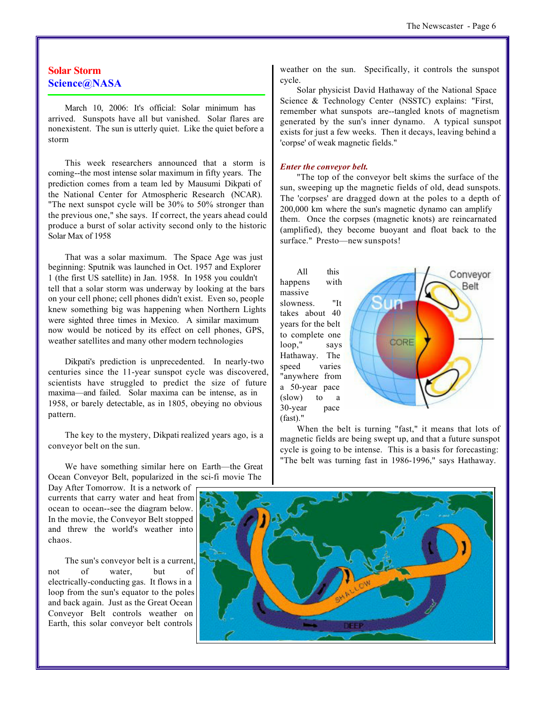#### **Solar Storm Science@NASA**

March 10, 2006: It's official: Solar minimum has arrived. Sunspots have all but vanished. Solar flares are nonexistent. The sun is utterly quiet. Like the quiet before a storm

This week researchers announced that a storm is coming--the most intense solar maximum in fifty years. The prediction comes from a team led by Mausumi Dikpati of the National Center for Atmospheric Research (NCAR). "The next sunspot cycle will be 30% to 50% stronger than the previous one," she says. If correct, the years ahead could produce a burst of solar activity second only to the historic Solar Max of 1958

That was a solar maximum. The Space Age was just beginning: Sputnik was launched in Oct. 1957 and Explorer 1 (the first US satellite) in Jan. 1958. In 1958 you couldn't tell that a solar storm was underway by looking at the bars on your cell phone; cell phones didn't exist. Even so, people knew something big was happening when Northern Lights were sighted three times in Mexico. A similar maximum now would be noticed by its effect on cell phones, GPS, weather satellites and many other modern technologies

Dikpati's prediction is unprecedented. In nearly-two centuries since the 11-year sunspot cycle was discovered, scientists have struggled to predict the size of future maxima—and failed. Solar maxima can be intense, as in 1958, or barely detectable, as in 1805, obeying no obvious pattern.

The key to the mystery, Dikpati realized years ago, is a conveyor belt on the sun.

We have something similar here on Earth—the Great Ocean Conveyor Belt, popularized in the sci-fi movie The

Day After Tomorrow. It is a network of currents that carry water and heat from ocean to ocean--see the diagram below. In the movie, the Conveyor Belt stopped and threw the world's weather into chaos.

The sun's conveyor belt is a current, not of water, but of electrically-conducting gas. It flows in a loop from the sun's equator to the poles and back again. Just as the Great Ocean Conveyor Belt controls weather on Earth, this solar conveyor belt controls weather on the sun. Specifically, it controls the sunspot cycle.

Solar physicist David Hathaway of the National Space Science & Technology Center (NSSTC) explains: "First, remember what sunspots are--tangled knots of magnetism generated by the sun's inner dynamo. A typical sunspot exists for just a few weeks. Then it decays, leaving behind a 'corpse' of weak magnetic fields."

#### *Enter the conveyor belt.*

"The top of the conveyor belt skims the surface of the sun, sweeping up the magnetic fields of old, dead sunspots. The 'corpses' are dragged down at the poles to a depth of 200,000 km where the sun's magnetic dynamo can amplify them. Once the corpses (magnetic knots) are reincarnated (amplified), they become buoyant and float back to the surface." Presto—new sunspots!

All this happens with massive slowness. "It takes about 40 years for the belt to complete one loop," says Hathaway. The speed varies "anywhere from a 50-year pace (slow) to a 30-year pace (fast)."



When the belt is turning "fast," it means that lots of magnetic fields are being swept up, and that a future sunspot cycle is going to be intense. This is a basis for forecasting: "The belt was turning fast in 1986-1996," says Hathaway.

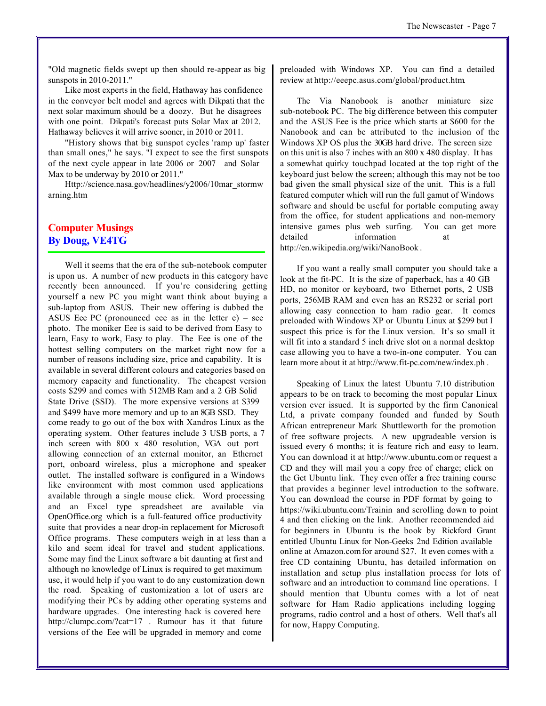"Old magnetic fields swept up then should re-appear as big sunspots in 2010-2011."

Like most experts in the field, Hathaway has confidence in the conveyor belt model and agrees with Dikpati that the next solar maximum should be a doozy. But he disagrees with one point. Dikpati's forecast puts Solar Max at 2012. Hathaway believes it will arrive sooner, in 2010 or 2011.

"History shows that big sunspot cycles 'ramp up' faster than small ones," he says. "I expect to see the first sunspots of the next cycle appear in late 2006 or 2007—and Solar Max to be underway by 2010 or 2011."

Http://science.nasa.gov/headlines/y2006/10mar\_stormw arning.htm

#### **Computer Musings By Doug, VE4TG**

Well it seems that the era of the sub-notebook computer is upon us. A number of new products in this category have recently been announced. If you're considering getting yourself a new PC you might want think about buying a sub-laptop from ASUS. Their new offering is dubbed the ASUS Eee PC (pronounced eee as in the letter  $e$ ) – see photo. The moniker Eee is said to be derived from Easy to learn, Easy to work, Easy to play. The Eee is one of the hottest selling computers on the market right now for a number of reasons including size, price and capability. It is available in several different colours and categories based on memory capacity and functionality. The cheapest version costs \$299 and comes with 512MB Ram and a 2 GB Solid State Drive (SSD). The more expensive versions at \$399 and \$499 have more memory and up to an 8GB SSD. They come ready to go out of the box with Xandros Linux as the operating system. Other features include 3 USB ports, a 7 inch screen with 800 x 480 resolution, VGA out port allowing connection of an external monitor, an Ethernet port, onboard wireless, plus a microphone and speaker outlet. The installed software is configured in a Windows like environment with most common used applications available through a single mouse click. Word processing and an Excel type spreadsheet are available via OpenOffice.org which is a full-featured office productivity suite that provides a near drop-in replacement for Microsoft Office programs. These computers weigh in at less than a kilo and seem ideal for travel and student applications. Some may find the Linux software a bit daunting at first and although no knowledge of Linux is required to get maximum use, it would help if you want to do any customization down the road. Speaking of customization a lot of users are modifying their PCs by adding other operating systems and hardware upgrades. One interesting hack is covered here http://clumpc.com/?cat=17 . Rumour has it that future versions of the Eee will be upgraded in memory and come

preloaded with Windows XP. You can find a detailed review at http://eeepc.asus.com/global/product.htm.

The Via Nanobook is another miniature size sub-notebook PC. The big difference between this computer and the ASUS Eee is the price which starts at \$600 for the Nanobook and can be attributed to the inclusion of the Windows XP OS plus the 30GB hard drive. The screen size on this unit is also 7 inches with an 800 x 480 display. It has a somewhat quirky touchpad located at the top right of the keyboard just below the screen; although this may not be too bad given the small physical size of the unit. This is a full featured computer which will run the full gamut of Windows software and should be useful for portable computing away from the office, for student applications and non-memory intensive games plus web surfing. You can get more detailed information at http://en.wikipedia.org/wiki/NanoBook .

If you want a really small computer you should take a look at the fit-PC. It is the size of paperback, has a 40 GB HD, no monitor or keyboard, two Ethernet ports, 2 USB ports, 256MB RAM and even has an RS232 or serial port allowing easy connection to ham radio gear. It comes preloaded with Windows XP or Ubuntu Linux at \$299 but I suspect this price is for the Linux version. It's so small it will fit into a standard 5 inch drive slot on a normal desktop case allowing you to have a two-in-one computer. You can learn more about it at http://www.fit-pc.com/new/index.ph .

Speaking of Linux the latest Ubuntu 7.10 distribution appears to be on track to becoming the most popular Linux version ever issued. It is supported by the firm Canonical Ltd, a private company founded and funded by South African entrepreneur Mark Shuttleworth for the promotion of free software projects. A new upgradeable version is issued every 6 months; it is feature rich and easy to learn. You can download it at http://www.ubuntu.com or request a CD and they will mail you a copy free of charge; click on the Get Ubuntu link. They even offer a free training course that provides a beginner level introduction to the software. You can download the course in PDF format by going to https://wiki.ubuntu.com/Trainin and scrolling down to point 4 and then clicking on the link. Another recommended aid for beginners in Ubuntu is the book by Rickford Grant entitled Ubuntu Linux for Non-Geeks 2nd Edition available online at Amazon.com for around \$27. It even comes with a free CD containing Ubuntu, has detailed information on installation and setup plus installation process for lots of software and an introduction to command line operations. I should mention that Ubuntu comes with a lot of neat software for Ham Radio applications including logging programs, radio control and a host of others. Well that's all for now, Happy Computing.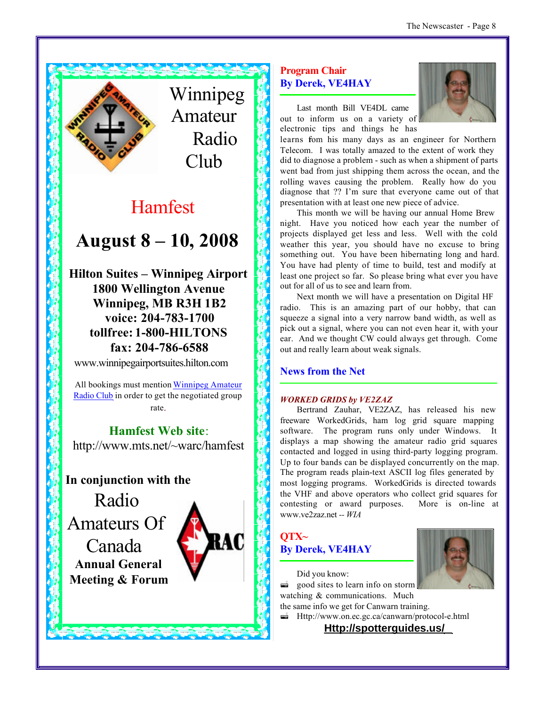

Winnipeg Amateur Radio Club

# Hamfest

# **August 8 – 10, 2008**

**Hilton Suites – Winnipeg Airport 1800 Wellington Avenue Winnipeg, MB R3H 1B2 voice: 204-783-1700 tollfree: 1-800-HILTONS fax: 204-786-6588**

www.winnipegairportsuites.hilton.com

All bookings must mention Winnipeg Amateur Radio Club in order to get the negotiated group rate.

### **Hamfest Web site**:

http://www.mts.net/~warc/hamfest

### **In conjunction with the**

Radio Amateurs Of Canada **Annual General**

**Meeting & Forum**



#### **Program Chair By Derek, VE4HAY**



Last month Bill VE4DL came out to inform us on a variety of electronic tips and things he has

learns fom his many days as an engineer for Northern Telecom. I was totally amazed to the extent of work they did to diagnose a problem - such as when a shipment of parts went bad from just shipping them across the ocean, and the rolling waves causing the problem. Really how do you diagnose that ?? I'm sure that everyone came out of that presentation with at least one new piece of advice.

This month we will be having our annual Home Brew night. Have you noticed how each year the number of projects displayed get less and less. Well with the cold weather this year, you should have no excuse to bring something out. You have been hibernating long and hard. You have had plenty of time to build, test and modify at least one project so far. So please bring what ever you have out for all of us to see and learn from.

Next month we will have a presentation on Digital HF radio. This is an amazing part of our hobby, that can squeeze a signal into a very narrow band width, as well as pick out a signal, where you can not even hear it, with your ear. And we thought CW could always get through. Come out and really learn about weak signals.

#### **News from the Net**

#### *WORKED GRIDS by VE2ZAZ*

Bertrand Zauhar, VE2ZAZ, has released his new freeware WorkedGrids, ham log grid square mapping software. The program runs only under Windows. It displays a map showing the amateur radio grid squares contacted and logged in using third-party logging program. Up to four bands can be displayed concurrently on the map. The program reads plain-text ASCII log files generated by most logging programs. WorkedGrids is directed towards the VHF and above operators who collect grid squares for contesting or award purposes. More is on-line at www.ve2zaz.net *-- WIA*





Did you know: good sites to learn info on storm watching & communications. Much the same info we get for Canwarn training.

 $\equiv$  Http://www.on.ec.gc.ca/canwarn/protocol-e.html

**Http://spotterguides.us/**